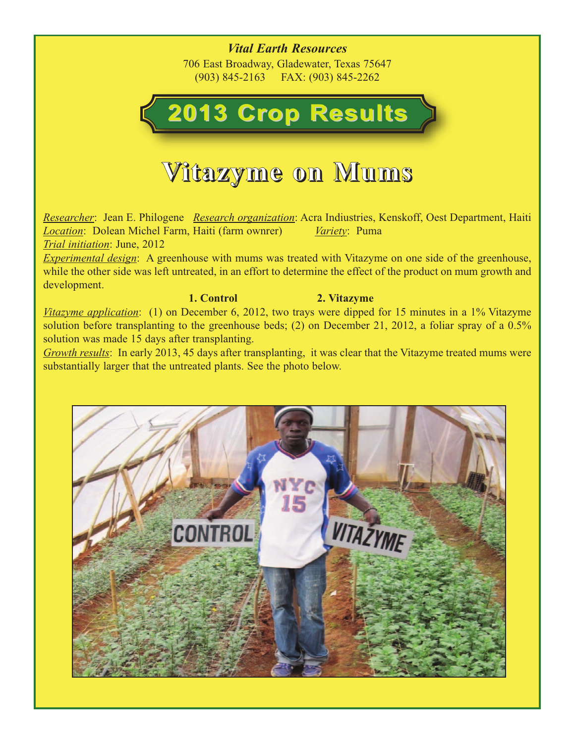*Vital Earth Resources* 706 East Broadway, Gladewater, Texas 75647 (903) 845-2163 FAX: (903) 845-2262

# **2013 Crop Results 2013 Crop Results**

## **Vitazyme on Mums**

*Researcher*: Jean E. Philogene *Research organization*: Acra Indiustries, Kenskoff, Oest Department, Haiti *Location*: Dolean Michel Farm, Haiti (farm ownrer) *Variety*: Puma *Trial initiation*: June, 2012

*Experimental design*: A greenhouse with mums was treated with Vitazyme on one side of the greenhouse, while the other side was left untreated, in an effort to determine the effect of the product on mum growth and development.

#### **1. Control 2. Vitazyme**

*Vitazyme application*: (1) on December 6, 2012, two trays were dipped for 15 minutes in a 1% Vitazyme solution before transplanting to the greenhouse beds; (2) on December 21, 2012, a foliar spray of a 0.5% solution was made 15 days after transplanting.

*Growth results*: In early 2013, 45 days after transplanting, it was clear that the Vitazyme treated mums were substantially larger that the untreated plants. See the photo below.

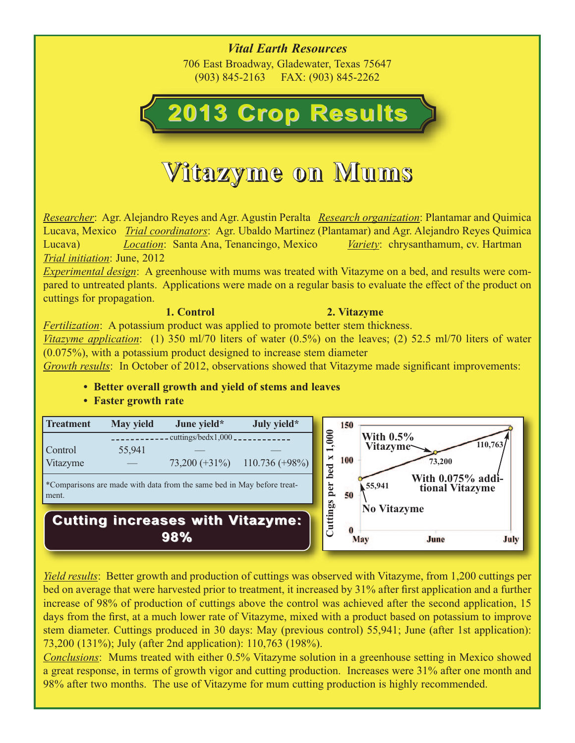*Vital Earth Resources* 706 East Broadway, Gladewater, Texas 75647 (903) 845-2163 FAX: (903) 845-2262

# **2013 Crop Results 2013 Crop Results**

## **Vitazyme on Mums**

*Researcher*: Agr. Alejandro Reyes and Agr. Agustin Peralta *Research organization*: Plantamar and Quimica Lucava, Mexico *Trial coordinators*: Agr. Ubaldo Martinez (Plantamar) and Agr. Alejandro Reyes Quimica Lucava) *Location*: Santa Ana, Tenancingo, Mexico *Variety*: chrysanthamum, cv. Hartman *Trial initiation*: June, 2012

*Experimental design*: A greenhouse with mums was treated with Vitazyme on a bed, and results were compared to untreated plants. Applications were made on a regular basis to evaluate the effect of the product on cuttings for propagation.

#### **1. Control 2. Vitazyme**

*Fertilization*: A potassium product was applied to promote better stem thickness.

*Vitazyme application*: (1) 350 ml/70 liters of water (0.5%) on the leaves; (2) 52.5 ml/70 liters of water (0.075%), with a potassium product designed to increase stem diameter

*Growth results*: In October of 2012, observations showed that Vitazyme made significant improvements:

**• Better overall growth and yield of stems and leaves**

#### **• Faster growth rate**



*Yield results*: Better growth and production of cuttings was observed with Vitazyme, from 1,200 cuttings per bed on average that were harvested prior to treatment, it increased by 31% after first application and a further increase of 98% of production of cuttings above the control was achieved after the second application, 15 days from the first, at a much lower rate of Vitazyme, mixed with a product based on potassium to improve stem diameter. Cuttings produced in 30 days: May (previous control) 55,941; June (after 1st application): 73,200 (131%); July (after 2nd application): 110,763 (198%).

*Conclusions*: Mums treated with either 0.5% Vitazyme solution in a greenhouse setting in Mexico showed a great response, in terms of growth vigor and cutting production. Increases were 31% after one month and 98% after two months. The use of Vitazyme for mum cutting production is highly recommended.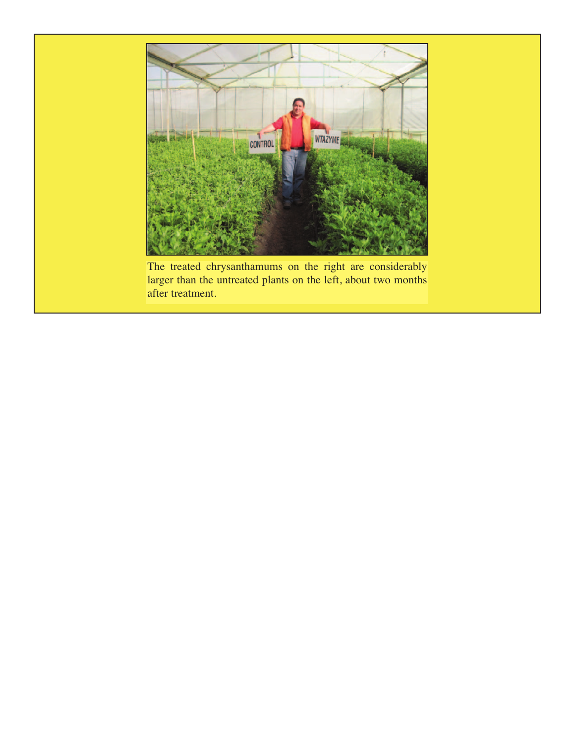

larger than the untreated plants on the left, about two months after treatment.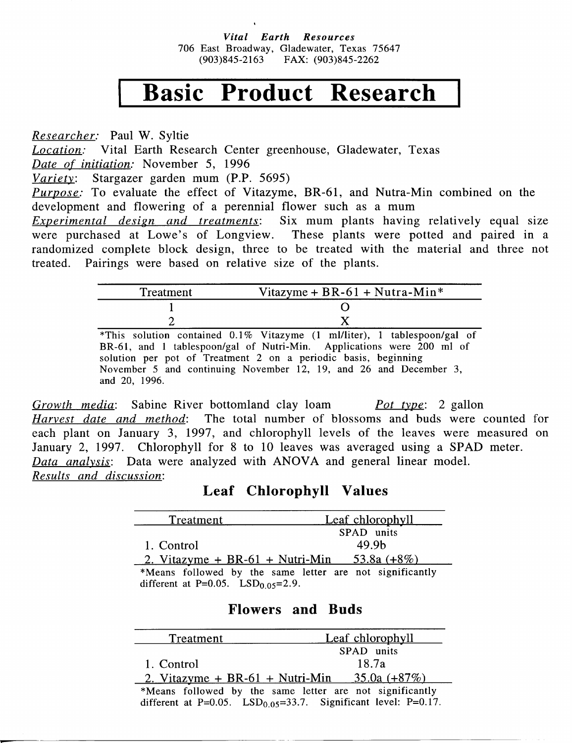Vital Earth Resources 706 East Broadway, Gladewater, Texas 75647  $(903)845 - 2163$ FAX: (903)845-2262

### Basic Product Research

Researcher: Paul W. Syltie *Location:* Vital Earth Research Center greenhouse, Gladewater, Texas Date of initiation: November 5, 1996 Variety: Stargazer garden mum (P.P. 5695) *Purpose:* To evaluate the effect of Vitazyme, BR-61, and Nutra-Min combined on the development and flowering of a perennial flower such as a mum Six mum plants having relatively equal size *Experimental design and treatments:* were purchased at Lowe's of Longview. These plants were potted and paired in a randomized complete block design, three to be treated with the material and three not treated. Pairings were based on relative size of the plants.

| Treatment                                                             | Vitazyme + BR-61 + Nutra-Min <sup>*</sup>                                |  |
|-----------------------------------------------------------------------|--------------------------------------------------------------------------|--|
|                                                                       |                                                                          |  |
|                                                                       |                                                                          |  |
|                                                                       | *This solution contained 0.1% Vitazyme (1 ml/liter), 1 tablespoon/gal of |  |
| BR-61, and 1 tablespoon/gal of Nutri-Min. Applications were 200 ml of |                                                                          |  |
| solution per pot of Treatment 2 on a periodic basis, beginning        |                                                                          |  |
|                                                                       | November 5 and continuing November 12, 19, and 26 and December 3,        |  |

and 20, 1996.

Growth media: Sabine River bottomland clay loam *Pot type*: 2 gallon Harvest date and method: The total number of blossoms and buds were counted for each plant on January 3, 1997, and chlorophyll levels of the leaves were measured on January 2, 1997. Chlorophyll for 8 to 10 leaves was averaged using a SPAD meter. Data analysis: Data were analyzed with ANOVA and general linear model. Results and discussion:

### Leaf Chlorophyll Values

| Treatment                            | Leaf chlorophyll                                         |
|--------------------------------------|----------------------------------------------------------|
|                                      | SPAD units                                               |
| 1. Control                           | 49.9 <sub>b</sub>                                        |
| 2. Vitazyme + BR-61 + Nutri-Min      | $53.8a (+8%)$                                            |
|                                      | *Means followed by the same letter are not significantly |
| different at P=0.05. $LSD0.05=2.9$ . |                                                          |

#### **Flowers and Buds**

| Treatment  | <b>Leaf chlorophyll</b>                                                            |
|------------|------------------------------------------------------------------------------------|
|            | SPAD units                                                                         |
| 1. Control | 18.7a                                                                              |
|            | 2. Vitazyme + BR-61 + Nutri-Min 35.0a $(+87\%)$                                    |
|            | *Means followed by the same letter are not significantly                           |
|            | different at P= $0.05$ . LSD <sub>0.05</sub> =33.7. Significant level: P= $0.17$ . |